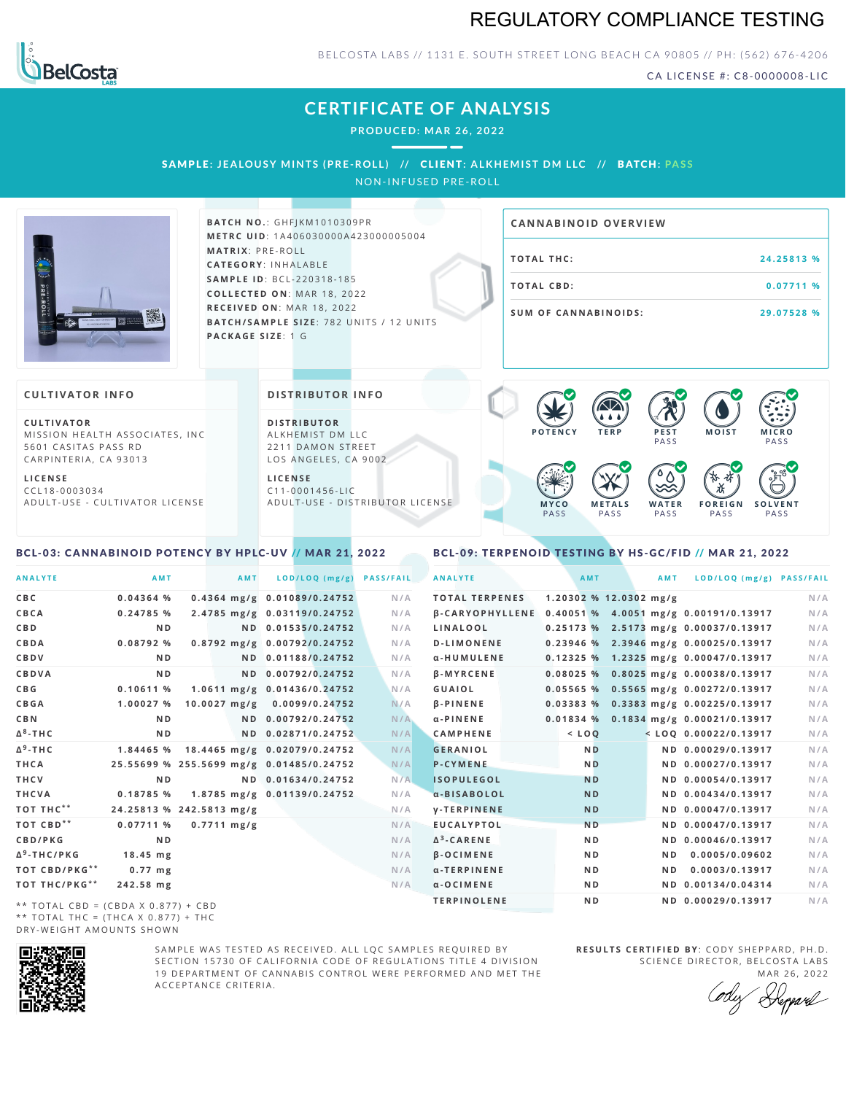# REGULATORY COMPLIANCE TESTING



BELCOSTA LABS // 1131 E. SOUTH STREET LONG BEACH CA 90805 // PH: (562) 676-4206

CA LICENSE #: C8-0000008-LIC

# **CERTIFICATE OF ANALYSIS**

**PRODUCED: MA R 26, 2022**

SAMPLE: JEALOUSY MINTS (PRE-ROLL) // CLIENT: ALKHEMIST DM LLC // BATCH: PASS

NON-INFUSED PRE-ROLL



**BAT C H N O .**: G H F J K M 1 0 1 0 3 0 9 P R **M E T R C U ID** :1 A 4 0 6 0 3 0 0 0 0 A 4 2 3 0 0 0 0 0 5 0 0 4 **M AT R I X** :P R E - R O L L **CAT E G O R Y** : I N H A L A B L E **SA M P L E I D** :B C L - 2 2 0 3 1 8 - 1 8 5  $COLLECTED ON: MAR 18, 2022$ **R E C E I V E D O N** : M A R 1 8 ,2 0 2 2 **BATCH/SAMPLE SIZE: 782 UNITS / 12 UNITS PAC KA G E S I Z E** : 1 G

# **T O TAL T H C :2 4 . 2 5 8 1 3 % T O TAL CB D :0 . 0 7 7 1 1 % S U M O F CA N N ABI N O I D S : 2 9 . 0 7 5 2 8 % CA N N ABI N OID OVERVI EW**

### **CULTIVATOR I N FO**

**C U L T I VAT O R** MISSION HEALTH ASSOCIATES, INC. 5601 CASITAS PASS RD CARPINTERIA, CA 93013

**L I C E N S E** C C L 1 8 - 0 0 0 3 0 3 4 A D U L T - U S E - C U L T I V A T O R L I C E N S E

<span id="page-0-0"></span>BCL-03: CANNABINOID POTENCY BY HPLC-UV // MAR 21, 2022

### **DI STRIBUTOR I N FO**

**D I S T R IB U T O R** ALKHEMIST DM LLC 2211 DAMON STREET LOS ANGELES, CA 9002

**L I C E N S E**  $C$  1 1 - 0 0 0 1 4 5 6 - L I C A D U L T - U S E - D I STRI B U T O R LICENSE



<span id="page-0-1"></span>BCL-09: TERPENOID TESTING BY HS-GC/FID // MAR 21, 2022

| <b>ANALYTE</b>          | AMT                                      | AMT                          | LOD/LOQ (mg/g)     | <b>PASS/FAIL</b> | <b>ANALYTE</b>        |  | <b>AMT</b>     |                        | AMT | LOD/LOQ (mg/g) PASS/FAIL                              |     |
|-------------------------|------------------------------------------|------------------------------|--------------------|------------------|-----------------------|--|----------------|------------------------|-----|-------------------------------------------------------|-----|
| CBC                     | 0.04364%                                 | 0.4364 mg/g 0.01089/0.24752  |                    | N/A              | <b>TOTAL TERPENES</b> |  |                | 1.20302 % 12.0302 mg/g |     |                                                       | N/A |
| CBCA                    | 0.24785%                                 | 2.4785 mg/g 0.03119/0.24752  |                    | N/A              |                       |  |                |                        |     | β-CARYOPHYLLENE 0.40051 % 4.0051 mg/g 0.00191/0.13917 | N/A |
| C B D                   | N <sub>D</sub>                           |                              | ND 0.01535/0.24752 | N/A              | LINALOOL              |  |                |                        |     | $0.25173$ % 2.5173 mg/g 0.00037/0.13917               | N/A |
| CBDA                    | 0.08792%                                 | 0.8792 mg/g 0.00792/0.24752  |                    | N/A              | <b>D-LIMONENE</b>     |  |                |                        |     | 0.23946 % 2.3946 mg/g 0.00025/0.13917                 | N/A |
| CBDV                    | ND.                                      |                              | ND 0.01188/0.24752 | N/A              | α-HUMULENE            |  |                |                        |     | 0.12325 % 1.2325 mg/g 0.00047/0.13917                 | N/A |
| CBDVA                   | N <sub>D</sub>                           |                              | ND 0.00792/0.24752 | N/A              | <b>B-MYRCENE</b>      |  |                |                        |     | 0.08025 % 0.8025 mg/g 0.00038/0.13917                 | N/A |
| C B G                   | 0.10611%                                 | 1.0611 mg/g 0.01436/0.24752  |                    | N/A              | GUAIOL                |  |                |                        |     | 0.05565 % 0.5565 mg/g 0.00272/0.13917                 | N/A |
| <b>CBGA</b>             | 1.00027 %                                | $10.0027$ mg/g               | 0.0099/0.24752     | N/A              | <b>B-PINENE</b>       |  |                |                        |     | 0.03383 % 0.3383 mg/g 0.00225/0.13917                 | N/A |
| C B N                   | N <sub>D</sub>                           |                              | ND 0.00792/0.24752 | N/A              | $\alpha$ -PINENE      |  |                |                        |     | 0.01834 % 0.1834 mg/g 0.00021/0.13917                 | N/A |
| Δ <sup>8</sup> -ΤΗC     | N <sub>D</sub>                           |                              | ND 0.02871/0.24752 | N/A              | <b>CAMPHENE</b>       |  | $<$ $LOQ$      |                        |     | <loq 0.00022="" 0.13917<="" th=""><th>N/A</th></loq>  | N/A |
| Δ <sup>9</sup> -ΤΗ C    | 1.84465 %                                | 18.4465 mg/g 0.02079/0.24752 |                    | N/A              | <b>GERANIOL</b>       |  | <b>ND</b>      |                        |     | ND 0.00029/0.13917                                    | N/A |
| THCA                    | 25.55699 % 255.5699 mg/g 0.01485/0.24752 |                              |                    | N/A              | <b>P-CYMENE</b>       |  | <b>ND</b>      |                        |     | ND 0.00027/0.13917                                    | N/A |
| THCV                    | N <sub>D</sub>                           |                              | ND 0.01634/0.24752 | N/A              | <b>ISOPULEGOL</b>     |  | <b>ND</b>      |                        |     | ND 0.00054/0.13917                                    | N/A |
| THCVA                   | 0.18785 %                                | 1.8785 mg/g 0.01139/0.24752  |                    | N/A              | a-BISABOLOL           |  | <b>ND</b>      |                        |     | ND 0.00434/0.13917                                    | N/A |
| тот тнс**               | 24.25813 % 242.5813 mg/g                 |                              |                    | N/A              | <b>V-TERPINENE</b>    |  | <b>ND</b>      |                        |     | ND 0.00047/0.13917                                    | N/A |
| ТОТ СВD**               | 0.07711%                                 | $0.7711 \text{ mg/g}$        |                    | N/A              | <b>EUCALYPTOL</b>     |  | <b>ND</b>      |                        |     | ND 0.00047/0.13917                                    | N/A |
| CBD/PKG                 | N <sub>D</sub>                           |                              |                    | N/A              | $\Delta^3$ -CARENE    |  | N <sub>D</sub> |                        |     | ND 0.00046/0.13917                                    | N/A |
| Δ <sup>9</sup> -THC/PKG | $18.45$ mg                               |                              |                    | N/A              | $\beta$ -OCIMENE      |  | N <sub>D</sub> |                        | ND. | 0.0005/0.09602                                        | N/A |
| TOT CBD/PKG**           | $0.77$ mg                                |                              |                    | N/A              | α-TERPINENE           |  | N <sub>D</sub> |                        | ND. | 0.0003/0.13917                                        | N/A |
| ТОТ ТНС/РКG**           | 242.58 mg                                |                              |                    | N/A              | $\alpha$ -OCIMENE     |  | ND             |                        |     | ND 0.00134/0.04314                                    | N/A |
|                         |                                          |                              |                    |                  | <b>TERPINOLENE</b>    |  | N <sub>D</sub> |                        |     | ND 0.00029/0.13917                                    | N/A |

\*\* TOTAL CBD = (CBDA X 0.877) + CBD \*\* TOTAL THC =  $(THCA X 0.877) + THC$ DRY-WEIGHT AMOUNTS SHOWN



SAMPLE WAS TESTED AS RECEIVED. ALL LOC SAMPLES REQUIRED BY SECTION 15730 OF CALIFORNIA CODE OF REGULATIONS TITLE 4 DIVISION 19 DEPARTMENT OF CANNABIS CONTROL WERE PERFORMED AND MET THE A C C E P T A N C E C R I T E R I A .

**R E S U L T S C E R T I F I E D BY** : C O D Y S H E P P A R D ,P H .D . SCIENCE DIRECTOR, BELCOSTA LABS

MAR 26, 2022 Heppard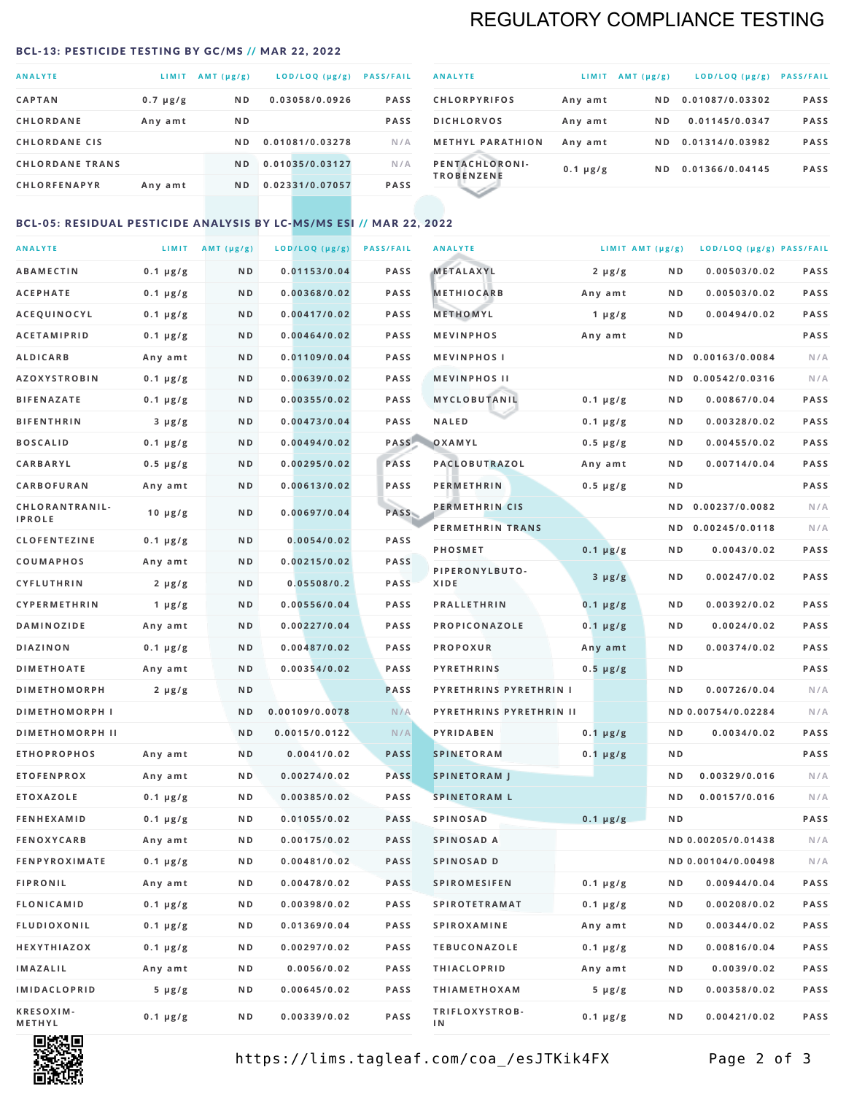# REGULATORY COMPLIANCE TESTING

#### <span id="page-1-0"></span>BCL-13: PESTICIDE TESTING BY GC/MS // MAR 22, 2022

| <b>ANALYTE</b>         | LIMIT         | AMT $(\mu g/g)$ | LOD/LOQ (µg/g)  | <b>PASS/FAIL</b> |
|------------------------|---------------|-----------------|-----------------|------------------|
| <b>CAPTAN</b>          | $0.7 \mu g/g$ | ND.             | 0.03058/0.0926  | <b>PASS</b>      |
| <b>CHLORDANE</b>       | Any amt       | N <sub>D</sub>  |                 | <b>PASS</b>      |
| <b>CHLORDANE CIS</b>   |               | ND.             | 0.01081/0.03278 | N/A              |
| <b>CHLORDANE TRANS</b> |               | ND.             | 0.01035/0.03127 | N/A              |
| <b>CHLORFENAPYR</b>    | Any amt       | N <sub>D</sub>  | 0.02331/0.07057 | <b>PASS</b>      |
|                        |               |                 |                 |                  |

| <b>ANALYTE</b>                      | LIMIT         | $AMT(\mu g/g)$ | LOD/LOQ (µg/g)  | <b>PASS/FAIL</b> |
|-------------------------------------|---------------|----------------|-----------------|------------------|
| <b>CHLORPYRIFOS</b>                 | Any amt       | ND.            | 0.01087/0.03302 | <b>PASS</b>      |
| <b>DICHLORVOS</b>                   | Any amt       | ND.            | 0.01145/0.0347  | <b>PASS</b>      |
| <b>METHYL PARATHION</b>             | Any amt       | ND.            | 0.01314/0.03982 | <b>PASS</b>      |
| PENTACHLORONI-<br><b>TROBENZENE</b> | $0.1 \mu g/g$ | ND.            | 0.01366/0.04145 | <b>PASS</b>      |
|                                     |               |                |                 |                  |

### BCL-05: RESIDUAL PESTICIDE ANALYSIS BY LC-MS/MS ESI // MAR 22, 2022

| <b>ANALYTE</b>             |               | LIMIT $AMT(\mu g/g)$ | LOD/LOQ (µg/g) | <b>PASS/FAIL</b> | <b>ANALYTE</b>                | LIMIT AMT (µg/g) |                | LOD/LOQ (µg/g) PASS/FAIL |             |
|----------------------------|---------------|----------------------|----------------|------------------|-------------------------------|------------------|----------------|--------------------------|-------------|
| <b>ABAMECTIN</b>           | $0.1 \mu g/g$ | N D                  | 0.01153/0.04   | <b>PASS</b>      | <b>METALAXYL</b>              | $2 \mu g/g$      | N D            | 0.00503/0.02             | PASS        |
| <b>ACEPHATE</b>            | $0.1 \mu g/g$ | N D                  | 0.00368/0.02   | <b>PASS</b>      | <b>METHIOCARB</b>             | Any amt          | N D            | 0.00503/0.02             | PASS        |
| ACEQUINOCYL                | $0.1 \mu g/g$ | ND                   | 0.00417/0.02   | <b>PASS</b>      | METHOMYL                      | $1 \mu g/g$      | N D            | 0.00494/0.02             | PASS        |
| <b>ACETAMIPRID</b>         | $0.1 \mu g/g$ | N D                  | 0.00464/0.02   | <b>PASS</b>      | <b>MEVINPHOS</b>              | Any amt          | N D            |                          | PASS        |
| <b>ALDICARB</b>            | Any amt       | N D                  | 0.01109/0.04   | PASS             | <b>MEVINPHOSI</b>             |                  | N D            | 0.00163/0.0084           | N/A         |
| <b>AZOXYSTROBIN</b>        | $0.1 \mu g/g$ | N D                  | 0.00639/0.02   | <b>PASS</b>      | <b>MEVINPHOS II</b>           |                  | N D            | 0.00542/0.0316           | N/A         |
| <b>BIFENAZATE</b>          | $0.1 \mu g/g$ | N D                  | 0.00355/0.02   | <b>PASS</b>      | MYCLOBUTANIL                  | $0.1 \mu g/g$    | N D            | 0.00867/0.04             | PASS        |
| <b>BIFENTHRIN</b>          | $3 \mu g/g$   | N D                  | 0.00473/0.04   | <b>PASS</b>      | <b>NALED</b>                  | $0.1 \mu g/g$    | N D            | 0.00328/0.02             | PASS        |
| <b>BOSCALID</b>            | $0.1 \mu g/g$ | N D                  | 0.00494/0.02   | PASS             | OXAMYL                        | $0.5 \mu g/g$    | N D            | 0.00455/0.02             | PASS        |
| CARBARYL                   | $0.5 \mu g/g$ | N D                  | 0.00295/0.02   | PASS             | PACLOBUTRAZOL                 | Any amt          | N D            | 0.00714/0.04             | PASS        |
| <b>CARBOFURAN</b>          | Any amt       | N D                  | 0.00613/0.02   | <b>PASS</b>      | <b>PERMETHRIN</b>             | $0.5 \mu g/g$    | N D            |                          | <b>PASS</b> |
| CHLORANTRANIL-             | 10 $\mu$ g/g  | N D                  | 0.00697/0.04   | PASS             | PERMETHRIN CIS                |                  | N D            | 0.00237/0.0082           | N/A         |
| <b>IPROLE</b>              |               |                      |                |                  | PERMETHRIN TRANS              |                  |                | ND 0.00245/0.0118        | N/A         |
| <b>CLOFENTEZINE</b>        | $0.1 \mu g/g$ | N D                  | 0.0054/0.02    | <b>PASS</b>      | <b>PHOSMET</b>                | $0.1 \mu g/g$    | N D            | 0.0043/0.02              | PASS        |
| COUMAPHOS                  | Any amt       | N D                  | 0.00215/0.02   | <b>PASS</b>      | PIPERONYLBUTO-                | $3 \mu g/g$      | N D            | 0.00247/0.02             | PASS        |
| <b>CYFLUTHRIN</b>          | $2 \mu g/g$   | N D                  | 0.05508/0.2    | <b>PASS</b>      | XIDE                          |                  |                |                          |             |
| <b>CYPERMETHRIN</b>        | 1 $\mu$ g/g   | N D                  | 0.00556/0.04   | <b>PASS</b>      | <b>PRALLETHRIN</b>            | $0.1 \mu g/g$    | N D            | 0.00392/0.02             | PASS        |
| <b>DAMINOZIDE</b>          | Any amt       | N D                  | 0.00227/0.04   | <b>PASS</b>      | PROPICONAZOLE                 | $0.1 \mu g/g$    | N D            | 0.0024/0.02              | PASS        |
| <b>DIAZINON</b>            | $0.1 \mu g/g$ | N D                  | 0.00487/0.02   | PASS             | <b>PROPOXUR</b>               | Any amt          | N D            | 0.00374/0.02             | <b>PASS</b> |
| <b>DIMETHOATE</b>          | Any amt       | N D                  | 0.00354/0.02   | <b>PASS</b>      | <b>PYRETHRINS</b>             | $0.5 \mu g/g$    | N D            |                          | PASS        |
| <b>DIMETHOMORPH</b>        | $2 \mu g/g$   | ND                   |                | <b>PASS</b>      | <b>PYRETHRINS PYRETHRIN I</b> |                  | ND             | 0.00726/0.04             | N/A         |
| <b>DIMETHOMORPH I</b>      |               | N D                  | 0.00109/0.0078 | N/A              | PYRETHRINS PYRETHRIN II       |                  |                | ND 0.00754/0.02284       | N/A         |
| <b>DIMETHOMORPH II</b>     |               | ND                   | 0.0015/0.0122  | N/A              | PYRIDABEN                     | $0.1 \mu g/g$    | N D            | 0.0034/0.02              | PASS        |
| <b>ETHOPROPHOS</b>         | Any amt       | N D                  | 0.0041/0.02    | <b>PASS</b>      | <b>SPINETORAM</b>             | $0.1 \mu g/g$    | N D            |                          | PASS        |
| <b>ETOFENPROX</b>          | Any amt       | N D                  | 0.00274/0.02   | <b>PASS</b>      | <b>SPINETORAM J</b>           |                  | N D            | 0.00329/0.016            | N/A         |
| <b>ETOXAZOLE</b>           | $0.1 \mu g/g$ | N D                  | 0.00385/0.02   | <b>PASS</b>      | <b>SPINETORAM L</b>           |                  | N <sub>D</sub> | 0.00157/0.016            | N/A         |
| <b>FENHEXAMID</b>          | $0.1 \mu g/g$ | N D                  | 0.01055/0.02   | <b>PASS</b>      | <b>SPINOSAD</b>               | $0.1 \mu g/g$    | ND             |                          | PASS        |
| <b>FENOXYCARB</b>          | Any amt       | N D                  | 0.00175/0.02   | <b>PASS</b>      | SPINOSAD A                    |                  |                | ND 0.00205/0.01438       | N/A         |
| <b>FENPYROXIMATE</b>       | $0.1 \mu g/g$ | N D                  | 0.00481/0.02   | <b>PASS</b>      | SPINOSAD D                    |                  |                | ND 0.00104/0.00498       | N/A         |
| <b>FIPRONIL</b>            | Any amt       | N D                  | 0.00478/0.02   | PASS             | <b>SPIROMESIFEN</b>           | $0.1 \mu g/g$    | N D            | 0.00944/0.04             | PASS        |
| <b>FLONICAMID</b>          | $0.1 \mu g/g$ | N D                  | 0.00398/0.02   | PASS             | <b>SPIROTETRAMAT</b>          | $0.1 \mu g/g$    | N D            | 0.00208/0.02             | PASS        |
| FLUDIOXONIL                | $0.1 \mu g/g$ | N D                  | 0.01369/0.04   | PASS             | SPIROXAMINE                   | Any amt          | N D            | 0.00344/0.02             | PASS        |
| HEXYTHIAZOX                | $0.1 \mu g/g$ | N D                  | 0.00297/0.02   | PASS             | <b>TEBUCONAZOLE</b>           | $0.1 \mu g/g$    | N D            | 0.00816/0.04             | PASS        |
| IMAZALIL                   | Any amt       | N D                  | 0.0056/0.02    | PASS             | <b>THIACLOPRID</b>            | Any amt          | N D            | 0.0039/0.02              | PASS        |
| <b>IMIDACLOPRID</b>        | $5 \mu g/g$   | N D                  | 0.00645/0.02   | PASS             | <b>THIAMETHOXAM</b>           | $5 \mu g/g$      | N D            | 0.00358/0.02             | PASS        |
| <b>KRESOXIM-</b><br>METHYL | $0.1 \mu g/g$ | N D                  | 0.00339/0.02   | PASS             | TRIFLOXYSTROB-<br>ΙN          | $0.1 \mu g/g$    | N D            | 0.00421/0.02             | PASS        |